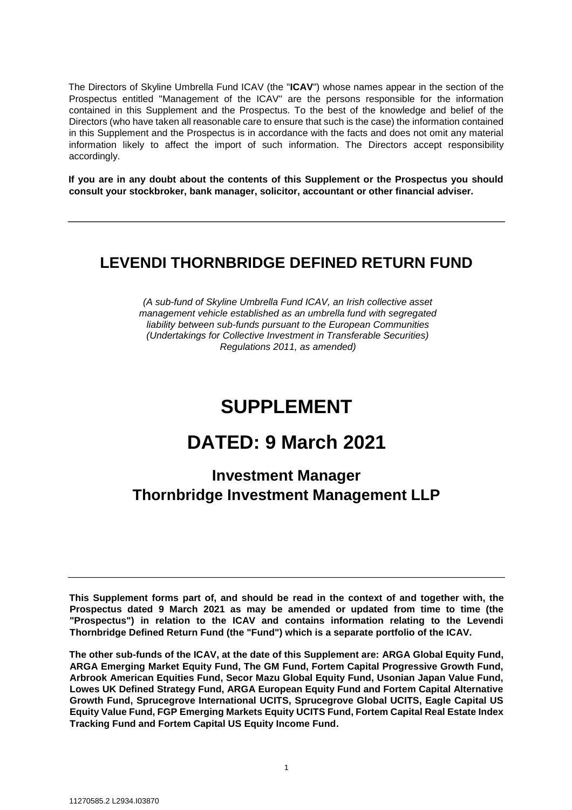The Directors of Skyline Umbrella Fund ICAV (the "**ICAV**") whose names appear in the section of the Prospectus entitled "Management of the ICAV" are the persons responsible for the information contained in this Supplement and the Prospectus. To the best of the knowledge and belief of the Directors (who have taken all reasonable care to ensure that such is the case) the information contained in this Supplement and the Prospectus is in accordance with the facts and does not omit any material information likely to affect the import of such information. The Directors accept responsibility accordingly.

**If you are in any doubt about the contents of this Supplement or the Prospectus you should consult your stockbroker, bank manager, solicitor, accountant or other financial adviser.** 

# **LEVENDI THORNBRIDGE DEFINED RETURN FUND**

*(A sub-fund of Skyline Umbrella Fund ICAV, an Irish collective asset management vehicle established as an umbrella fund with segregated liability between sub-funds pursuant to the European Communities (Undertakings for Collective Investment in Transferable Securities) Regulations 2011, as amended)* 

# **SUPPLEMENT**

# **DATED: 9 March 2021**

# **Investment Manager Thornbridge Investment Management LLP**

**This Supplement forms part of, and should be read in the context of and together with, the Prospectus dated 9 March 2021 as may be amended or updated from time to time (the "Prospectus") in relation to the ICAV and contains information relating to the Levendi Thornbridge Defined Return Fund (the "Fund") which is a separate portfolio of the ICAV.** 

**The other sub-funds of the ICAV, at the date of this Supplement are: ARGA Global Equity Fund, ARGA Emerging Market Equity Fund, The GM Fund, Fortem Capital Progressive Growth Fund, Arbrook American Equities Fund, Secor Mazu Global Equity Fund, Usonian Japan Value Fund, Lowes UK Defined Strategy Fund, ARGA European Equity Fund and Fortem Capital Alternative Growth Fund, Sprucegrove International UCITS, Sprucegrove Global UCITS, Eagle Capital US Equity Value Fund, FGP Emerging Markets Equity UCITS Fund, Fortem Capital Real Estate Index Tracking Fund and Fortem Capital US Equity Income Fund.**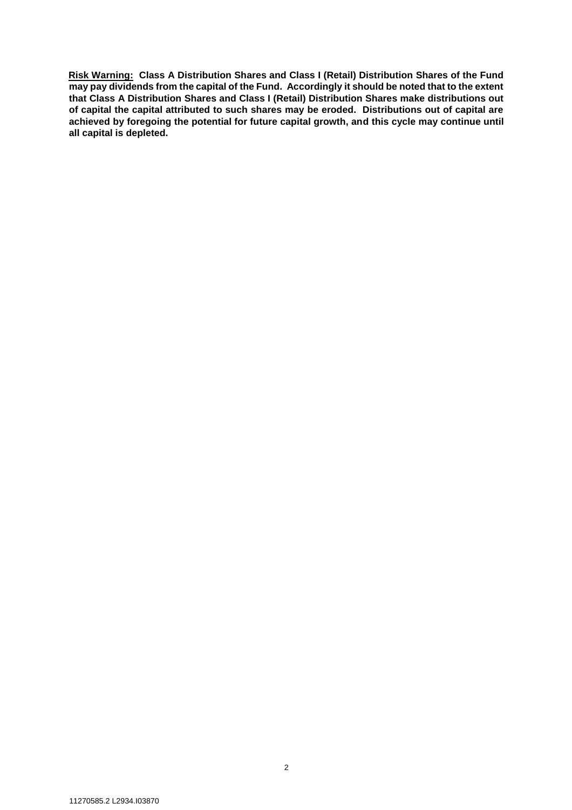**Risk Warning: Class A Distribution Shares and Class I (Retail) Distribution Shares of the Fund may pay dividends from the capital of the Fund. Accordingly it should be noted that to the extent that Class A Distribution Shares and Class I (Retail) Distribution Shares make distributions out of capital the capital attributed to such shares may be eroded. Distributions out of capital are achieved by foregoing the potential for future capital growth, and this cycle may continue until all capital is depleted.**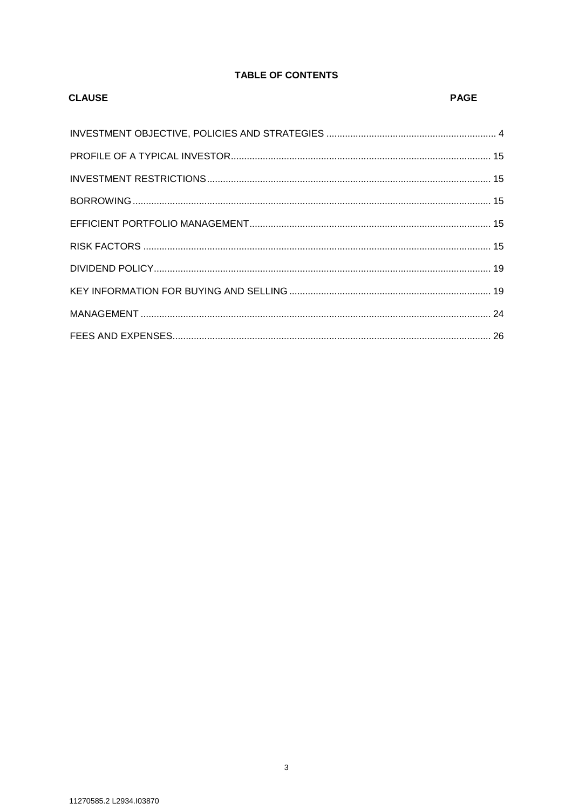# **TABLE OF CONTENTS**

| <b>CLAUSE</b> | <b>PAGE</b> |
|---------------|-------------|
|               |             |
|               |             |
|               |             |
|               |             |
|               |             |
|               |             |
|               |             |
|               |             |
|               |             |
|               |             |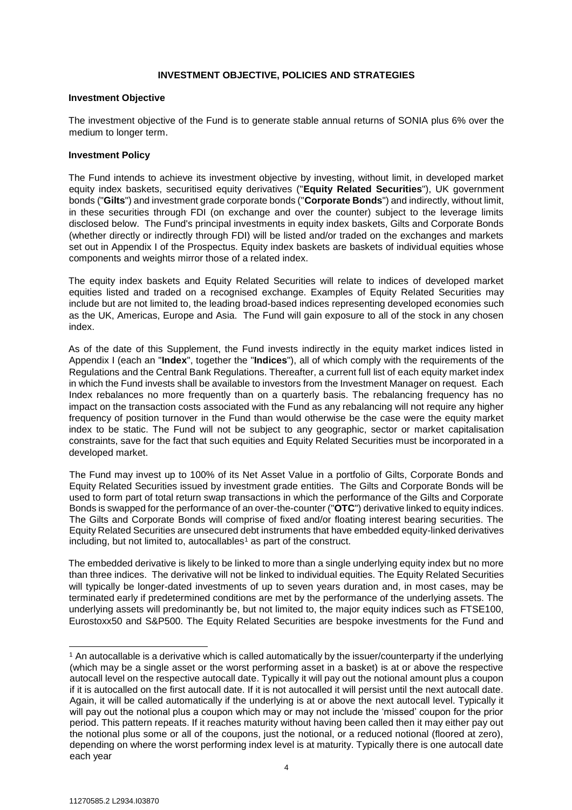## **INVESTMENT OBJECTIVE, POLICIES AND STRATEGIES**

#### <span id="page-3-0"></span>**Investment Objective**

The investment objective of the Fund is to generate stable annual returns of SONIA plus 6% over the medium to longer term.

#### **Investment Policy**

The Fund intends to achieve its investment objective by investing, without limit, in developed market equity index baskets, securitised equity derivatives ("**Equity Related Securities**"), UK government bonds ("**Gilts**") and investment grade corporate bonds ("**Corporate Bonds**") and indirectly, without limit, in these securities through FDI (on exchange and over the counter) subject to the leverage limits disclosed below. The Fund's principal investments in equity index baskets, Gilts and Corporate Bonds (whether directly or indirectly through FDI) will be listed and/or traded on the exchanges and markets set out in Appendix I of the Prospectus. Equity index baskets are baskets of individual equities whose components and weights mirror those of a related index.

The equity index baskets and Equity Related Securities will relate to indices of developed market equities listed and traded on a recognised exchange. Examples of Equity Related Securities may include but are not limited to, the leading broad-based indices representing developed economies such as the UK, Americas, Europe and Asia. The Fund will gain exposure to all of the stock in any chosen index.

As of the date of this Supplement, the Fund invests indirectly in the equity market indices listed in Appendix I (each an "**Index**", together the "**Indices**"), all of which comply with the requirements of the Regulations and the Central Bank Regulations. Thereafter, a current full list of each equity market index in which the Fund invests shall be available to investors from the Investment Manager on request. Each Index rebalances no more frequently than on a quarterly basis. The rebalancing frequency has no impact on the transaction costs associated with the Fund as any rebalancing will not require any higher frequency of position turnover in the Fund than would otherwise be the case were the equity market index to be static. The Fund will not be subject to any geographic, sector or market capitalisation constraints, save for the fact that such equities and Equity Related Securities must be incorporated in a developed market.

The Fund may invest up to 100% of its Net Asset Value in a portfolio of Gilts, Corporate Bonds and Equity Related Securities issued by investment grade entities. The Gilts and Corporate Bonds will be used to form part of total return swap transactions in which the performance of the Gilts and Corporate Bonds is swapped for the performance of an over-the-counter ("**OTC**") derivative linked to equity indices. The Gilts and Corporate Bonds will comprise of fixed and/or floating interest bearing securities. The Equity Related Securities are unsecured debt instruments that have embedded equity-linked derivatives including, but not limited to, autocallables<sup>1</sup> as part of the construct.

The embedded derivative is likely to be linked to more than a single underlying equity index but no more than three indices. The derivative will not be linked to individual equities. The Equity Related Securities will typically be longer-dated investments of up to seven years duration and, in most cases, may be terminated early if predetermined conditions are met by the performance of the underlying assets. The underlying assets will predominantly be, but not limited to, the major equity indices such as FTSE100, Eurostoxx50 and S&P500. The Equity Related Securities are bespoke investments for the Fund and

l

<sup>1</sup> An autocallable is a derivative which is called automatically by the issuer/counterparty if the underlying (which may be a single asset or the worst performing asset in a basket) is at or above the respective autocall level on the respective autocall date. Typically it will pay out the notional amount plus a coupon if it is autocalled on the first autocall date. If it is not autocalled it will persist until the next autocall date. Again, it will be called automatically if the underlying is at or above the next autocall level. Typically it will pay out the notional plus a coupon which may or may not include the 'missed' coupon for the prior period. This pattern repeats. If it reaches maturity without having been called then it may either pay out the notional plus some or all of the coupons, just the notional, or a reduced notional (floored at zero), depending on where the worst performing index level is at maturity. Typically there is one autocall date each year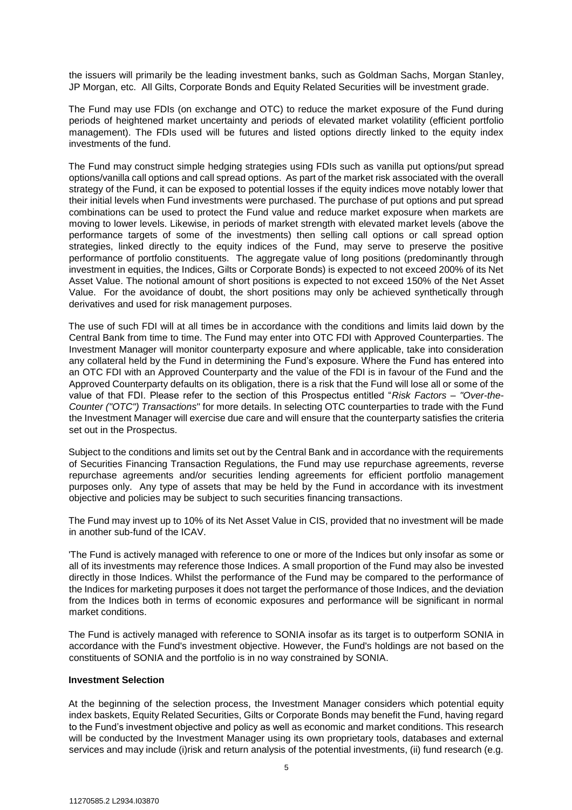the issuers will primarily be the leading investment banks, such as Goldman Sachs, Morgan Stanley, JP Morgan, etc. All Gilts, Corporate Bonds and Equity Related Securities will be investment grade.

The Fund may use FDIs (on exchange and OTC) to reduce the market exposure of the Fund during periods of heightened market uncertainty and periods of elevated market volatility (efficient portfolio management). The FDIs used will be futures and listed options directly linked to the equity index investments of the fund.

The Fund may construct simple hedging strategies using FDIs such as vanilla put options/put spread options/vanilla call options and call spread options. As part of the market risk associated with the overall strategy of the Fund, it can be exposed to potential losses if the equity indices move notably lower that their initial levels when Fund investments were purchased. The purchase of put options and put spread combinations can be used to protect the Fund value and reduce market exposure when markets are moving to lower levels. Likewise, in periods of market strength with elevated market levels (above the performance targets of some of the investments) then selling call options or call spread option strategies, linked directly to the equity indices of the Fund, may serve to preserve the positive performance of portfolio constituents. The aggregate value of long positions (predominantly through investment in equities, the Indices, Gilts or Corporate Bonds) is expected to not exceed 200% of its Net Asset Value. The notional amount of short positions is expected to not exceed 150% of the Net Asset Value. For the avoidance of doubt, the short positions may only be achieved synthetically through derivatives and used for risk management purposes.

The use of such FDI will at all times be in accordance with the conditions and limits laid down by the Central Bank from time to time. The Fund may enter into OTC FDI with Approved Counterparties. The Investment Manager will monitor counterparty exposure and where applicable, take into consideration any collateral held by the Fund in determining the Fund's exposure. Where the Fund has entered into an OTC FDI with an Approved Counterparty and the value of the FDI is in favour of the Fund and the Approved Counterparty defaults on its obligation, there is a risk that the Fund will lose all or some of the value of that FDI. Please refer to the section of this Prospectus entitled "*Risk Factors – "Over-the-Counter ("OTC") Transactions*" for more details. In selecting OTC counterparties to trade with the Fund the Investment Manager will exercise due care and will ensure that the counterparty satisfies the criteria set out in the Prospectus.

Subject to the conditions and limits set out by the Central Bank and in accordance with the requirements of Securities Financing Transaction Regulations, the Fund may use repurchase agreements, reverse repurchase agreements and/or securities lending agreements for efficient portfolio management purposes only. Any type of assets that may be held by the Fund in accordance with its investment objective and policies may be subject to such securities financing transactions.

The Fund may invest up to 10% of its Net Asset Value in CIS, provided that no investment will be made in another sub-fund of the ICAV.

'The Fund is actively managed with reference to one or more of the Indices but only insofar as some or all of its investments may reference those Indices. A small proportion of the Fund may also be invested directly in those Indices. Whilst the performance of the Fund may be compared to the performance of the Indices for marketing purposes it does not target the performance of those Indices, and the deviation from the Indices both in terms of economic exposures and performance will be significant in normal market conditions.

The Fund is actively managed with reference to SONIA insofar as its target is to outperform SONIA in accordance with the Fund's investment objective. However, the Fund's holdings are not based on the constituents of SONIA and the portfolio is in no way constrained by SONIA.

#### **Investment Selection**

At the beginning of the selection process, the Investment Manager considers which potential equity index baskets, Equity Related Securities, Gilts or Corporate Bonds may benefit the Fund, having regard to the Fund's investment objective and policy as well as economic and market conditions. This research will be conducted by the Investment Manager using its own proprietary tools, databases and external services and may include (i)risk and return analysis of the potential investments, (ii) fund research (e.g.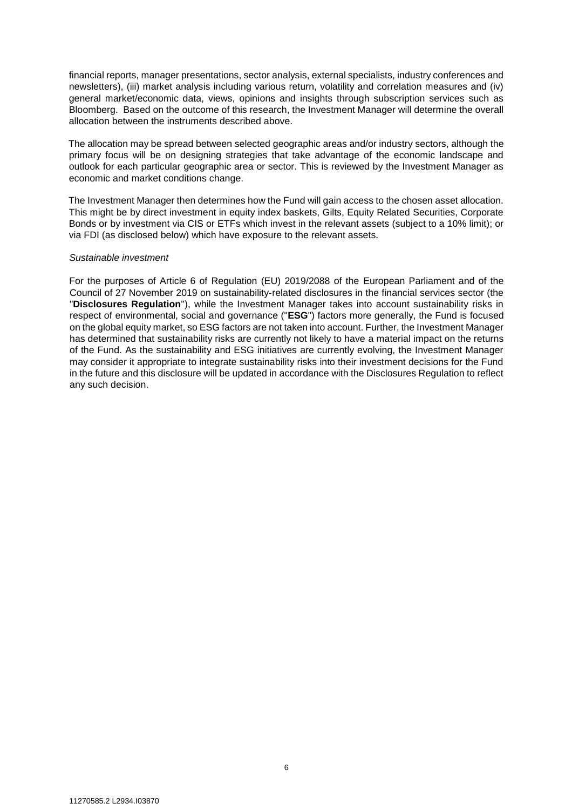financial reports, manager presentations, sector analysis, external specialists, industry conferences and newsletters), (iii) market analysis including various return, volatility and correlation measures and (iv) general market/economic data, views, opinions and insights through subscription services such as Bloomberg. Based on the outcome of this research, the Investment Manager will determine the overall allocation between the instruments described above.

The allocation may be spread between selected geographic areas and/or industry sectors, although the primary focus will be on designing strategies that take advantage of the economic landscape and outlook for each particular geographic area or sector. This is reviewed by the Investment Manager as economic and market conditions change.

The Investment Manager then determines how the Fund will gain access to the chosen asset allocation. This might be by direct investment in equity index baskets, Gilts, Equity Related Securities, Corporate Bonds or by investment via CIS or ETFs which invest in the relevant assets (subject to a 10% limit); or via FDI (as disclosed below) which have exposure to the relevant assets.

#### *Sustainable investment*

For the purposes of Article 6 of Regulation (EU) 2019/2088 of the European Parliament and of the Council of 27 November 2019 on sustainability‐related disclosures in the financial services sector (the "**Disclosures Regulation**"), while the Investment Manager takes into account sustainability risks in respect of environmental, social and governance ("**ESG**") factors more generally, the Fund is focused on the global equity market, so ESG factors are not taken into account. Further, the Investment Manager has determined that sustainability risks are currently not likely to have a material impact on the returns of the Fund. As the sustainability and ESG initiatives are currently evolving, the Investment Manager may consider it appropriate to integrate sustainability risks into their investment decisions for the Fund in the future and this disclosure will be updated in accordance with the Disclosures Regulation to reflect any such decision.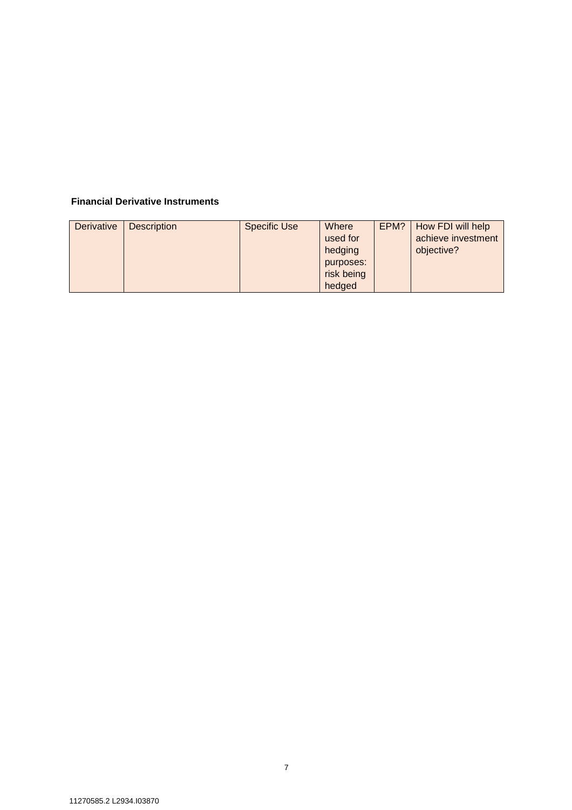# **Financial Derivative Instruments**

| <b>Derivative</b> | <b>Description</b> | <b>Specific Use</b> | Where      | EPM? | How FDI will help  |
|-------------------|--------------------|---------------------|------------|------|--------------------|
|                   |                    |                     | used for   |      | achieve investment |
|                   |                    |                     | hedging    |      | objective?         |
|                   |                    |                     | purposes:  |      |                    |
|                   |                    |                     | risk being |      |                    |
|                   |                    |                     | hedged     |      |                    |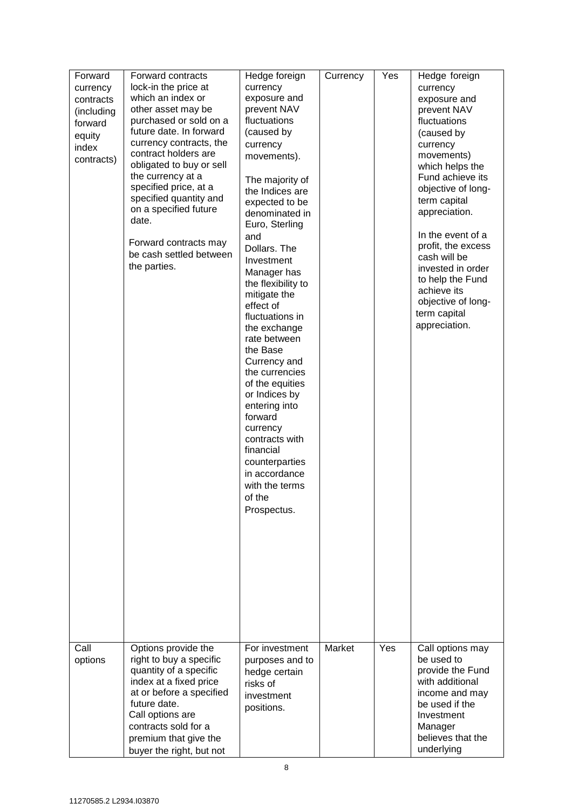| Forward<br>currency<br>contracts<br>(including<br>forward<br>equity<br>index<br>contracts) | Forward contracts<br>lock-in the price at<br>which an index or<br>other asset may be<br>purchased or sold on a<br>future date. In forward<br>currency contracts, the<br>contract holders are<br>obligated to buy or sell<br>the currency at a<br>specified price, at a<br>specified quantity and<br>on a specified future<br>date.<br>Forward contracts may<br>be cash settled between<br>the parties. | Hedge foreign<br>currency<br>exposure and<br>prevent NAV<br>fluctuations<br>(caused by<br>currency<br>movements).<br>The majority of<br>the Indices are<br>expected to be<br>denominated in<br>Euro, Sterling<br>and<br>Dollars. The<br>Investment<br>Manager has<br>the flexibility to<br>mitigate the<br>effect of<br>fluctuations in<br>the exchange<br>rate between<br>the Base<br>Currency and<br>the currencies<br>of the equities<br>or Indices by<br>entering into<br>forward<br>currency<br>contracts with<br>financial<br>counterparties<br>in accordance<br>with the terms<br>of the<br>Prospectus. | Currency | Yes | Hedge foreign<br>currency<br>exposure and<br>prevent NAV<br>fluctuations<br>(caused by<br>currency<br>movements)<br>which helps the<br>Fund achieve its<br>objective of long-<br>term capital<br>appreciation.<br>In the event of a<br>profit, the excess<br>cash will be<br>invested in order<br>to help the Fund<br>achieve its<br>objective of long-<br>term capital<br>appreciation. |
|--------------------------------------------------------------------------------------------|--------------------------------------------------------------------------------------------------------------------------------------------------------------------------------------------------------------------------------------------------------------------------------------------------------------------------------------------------------------------------------------------------------|----------------------------------------------------------------------------------------------------------------------------------------------------------------------------------------------------------------------------------------------------------------------------------------------------------------------------------------------------------------------------------------------------------------------------------------------------------------------------------------------------------------------------------------------------------------------------------------------------------------|----------|-----|------------------------------------------------------------------------------------------------------------------------------------------------------------------------------------------------------------------------------------------------------------------------------------------------------------------------------------------------------------------------------------------|
| Call<br>options                                                                            | Options provide the<br>right to buy a specific<br>quantity of a specific<br>index at a fixed price<br>at or before a specified<br>future date.<br>Call options are<br>contracts sold for a<br>premium that give the<br>buyer the right, but not                                                                                                                                                        | For investment<br>purposes and to<br>hedge certain<br>risks of<br>investment<br>positions.                                                                                                                                                                                                                                                                                                                                                                                                                                                                                                                     | Market   | Yes | Call options may<br>be used to<br>provide the Fund<br>with additional<br>income and may<br>be used if the<br>Investment<br>Manager<br>believes that the<br>underlying                                                                                                                                                                                                                    |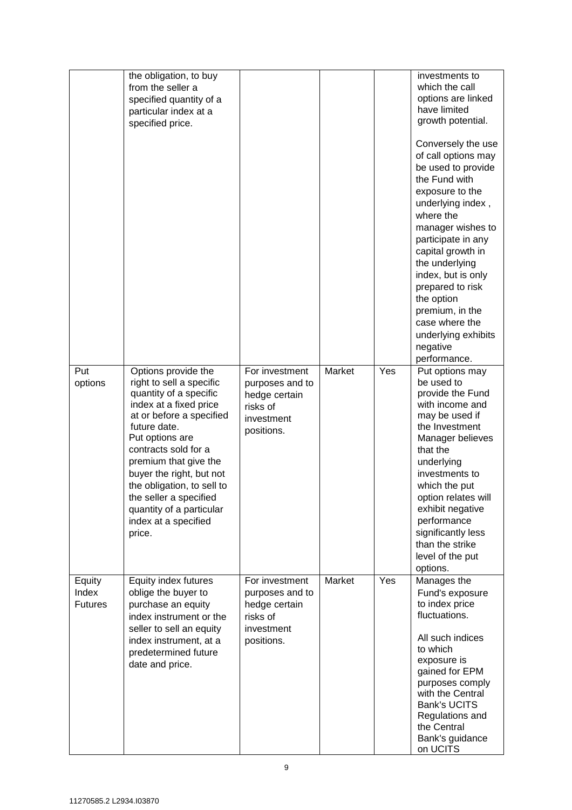|                                   | the obligation, to buy<br>from the seller a<br>specified quantity of a<br>particular index at a<br>specified price.                                                                                                                                                                                                                                                   |                                                                                            |        |     | investments to<br>which the call<br>options are linked<br>have limited<br>growth potential.<br>Conversely the use<br>of call options may<br>be used to provide<br>the Fund with<br>exposure to the<br>underlying index,<br>where the<br>manager wishes to<br>participate in any<br>capital growth in<br>the underlying<br>index, but is only<br>prepared to risk<br>the option<br>premium, in the<br>case where the<br>underlying exhibits<br>negative<br>performance. |
|-----------------------------------|-----------------------------------------------------------------------------------------------------------------------------------------------------------------------------------------------------------------------------------------------------------------------------------------------------------------------------------------------------------------------|--------------------------------------------------------------------------------------------|--------|-----|------------------------------------------------------------------------------------------------------------------------------------------------------------------------------------------------------------------------------------------------------------------------------------------------------------------------------------------------------------------------------------------------------------------------------------------------------------------------|
| Put<br>options                    | Options provide the<br>right to sell a specific<br>quantity of a specific<br>index at a fixed price<br>at or before a specified<br>future date.<br>Put options are<br>contracts sold for a<br>premium that give the<br>buyer the right, but not<br>the obligation, to sell to<br>the seller a specified<br>quantity of a particular<br>index at a specified<br>price. | For investment<br>purposes and to<br>hedge certain<br>risks of<br>investment<br>positions. | Market | Yes | Put options may<br>be used to<br>provide the Fund<br>with income and<br>may be used if<br>the Investment<br>Manager believes<br>that the<br>underlying<br>investments to<br>which the put<br>option relates will<br>exhibit negative<br>performance<br>significantly less<br>than the strike<br>level of the put<br>options.                                                                                                                                           |
| Equity<br>Index<br><b>Futures</b> | Equity index futures<br>oblige the buyer to<br>purchase an equity<br>index instrument or the<br>seller to sell an equity<br>index instrument, at a<br>predetermined future<br>date and price.                                                                                                                                                                         | For investment<br>purposes and to<br>hedge certain<br>risks of<br>investment<br>positions. | Market | Yes | Manages the<br>Fund's exposure<br>to index price<br>fluctuations.<br>All such indices<br>to which<br>exposure is<br>gained for EPM<br>purposes comply<br>with the Central<br><b>Bank's UCITS</b><br>Regulations and<br>the Central<br>Bank's guidance<br>on UCITS                                                                                                                                                                                                      |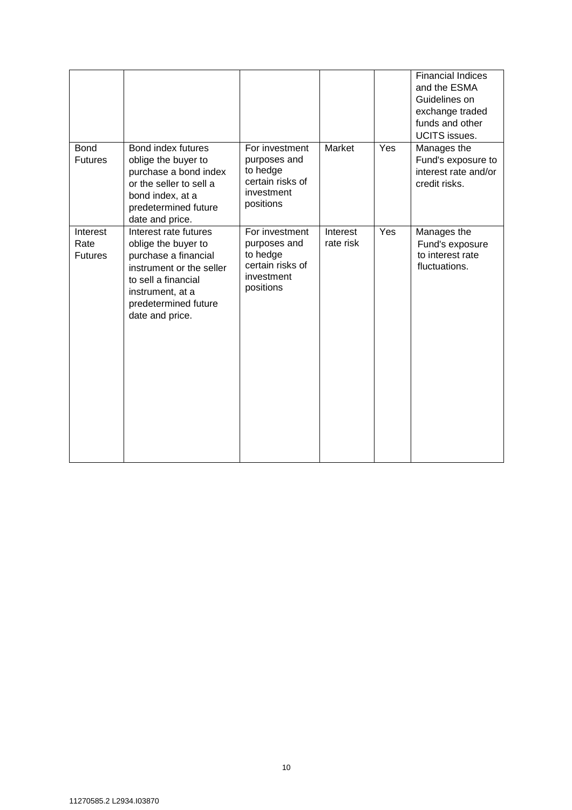|                                    |                                                                                                                                                                                        |                                                                                           |                       |     | <b>Financial Indices</b><br>and the ESMA<br>Guidelines on<br>exchange traded<br>funds and other<br><b>UCITS</b> issues. |
|------------------------------------|----------------------------------------------------------------------------------------------------------------------------------------------------------------------------------------|-------------------------------------------------------------------------------------------|-----------------------|-----|-------------------------------------------------------------------------------------------------------------------------|
| <b>Bond</b><br><b>Futures</b>      | Bond index futures<br>oblige the buyer to<br>purchase a bond index<br>or the seller to sell a<br>bond index, at a<br>predetermined future<br>date and price.                           | For investment<br>purposes and<br>to hedge<br>certain risks of<br>investment<br>positions | Market                | Yes | Manages the<br>Fund's exposure to<br>interest rate and/or<br>credit risks.                                              |
| Interest<br>Rate<br><b>Futures</b> | Interest rate futures<br>oblige the buyer to<br>purchase a financial<br>instrument or the seller<br>to sell a financial<br>instrument, at a<br>predetermined future<br>date and price. | For investment<br>purposes and<br>to hedge<br>certain risks of<br>investment<br>positions | Interest<br>rate risk | Yes | Manages the<br>Fund's exposure<br>to interest rate<br>fluctuations.                                                     |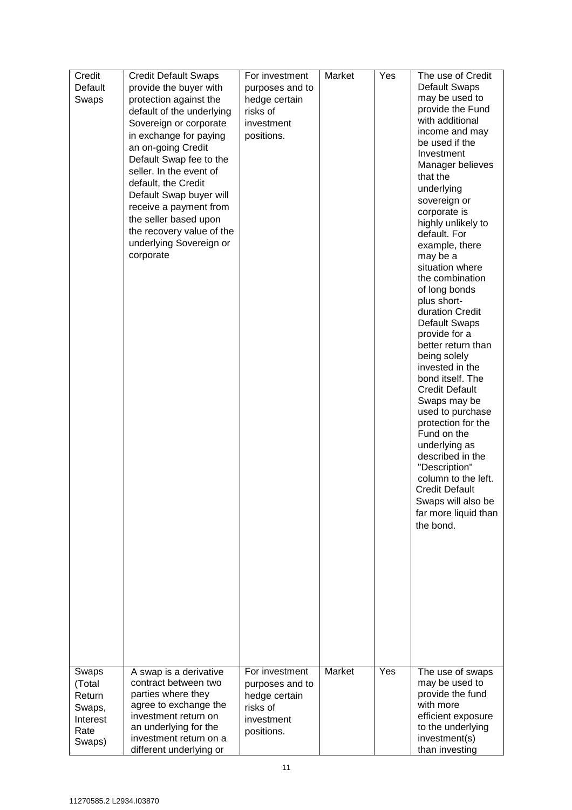| Credit         | <b>Credit Default Swaps</b>                      | For investment         | Market | Yes | The use of Credit                  |
|----------------|--------------------------------------------------|------------------------|--------|-----|------------------------------------|
| Default        | provide the buyer with                           | purposes and to        |        |     | <b>Default Swaps</b>               |
| Swaps          | protection against the                           | hedge certain          |        |     | may be used to<br>provide the Fund |
|                | default of the underlying                        | risks of<br>investment |        |     | with additional                    |
|                | Sovereign or corporate<br>in exchange for paying | positions.             |        |     | income and may                     |
|                | an on-going Credit                               |                        |        |     | be used if the                     |
|                | Default Swap fee to the                          |                        |        |     | Investment                         |
|                | seller. In the event of                          |                        |        |     | Manager believes                   |
|                | default, the Credit                              |                        |        |     | that the                           |
|                | Default Swap buyer will                          |                        |        |     | underlying                         |
|                | receive a payment from                           |                        |        |     | sovereign or<br>corporate is       |
|                | the seller based upon                            |                        |        |     | highly unlikely to                 |
|                | the recovery value of the                        |                        |        |     | default. For                       |
|                | underlying Sovereign or                          |                        |        |     | example, there                     |
|                | corporate                                        |                        |        |     | may be a                           |
|                |                                                  |                        |        |     | situation where<br>the combination |
|                |                                                  |                        |        |     | of long bonds                      |
|                |                                                  |                        |        |     | plus short-                        |
|                |                                                  |                        |        |     | duration Credit                    |
|                |                                                  |                        |        |     | <b>Default Swaps</b>               |
|                |                                                  |                        |        |     | provide for a                      |
|                |                                                  |                        |        |     | better return than                 |
|                |                                                  |                        |        |     | being solely<br>invested in the    |
|                |                                                  |                        |        |     | bond itself. The                   |
|                |                                                  |                        |        |     | <b>Credit Default</b>              |
|                |                                                  |                        |        |     | Swaps may be                       |
|                |                                                  |                        |        |     | used to purchase                   |
|                |                                                  |                        |        |     | protection for the                 |
|                |                                                  |                        |        |     | Fund on the<br>underlying as       |
|                |                                                  |                        |        |     | described in the                   |
|                |                                                  |                        |        |     | "Description"                      |
|                |                                                  |                        |        |     | column to the left.                |
|                |                                                  |                        |        |     | <b>Credit Default</b>              |
|                |                                                  |                        |        |     | Swaps will also be                 |
|                |                                                  |                        |        |     | far more liquid than               |
|                |                                                  |                        |        |     | the bond.                          |
|                |                                                  |                        |        |     |                                    |
|                |                                                  |                        |        |     |                                    |
|                |                                                  |                        |        |     |                                    |
|                |                                                  |                        |        |     |                                    |
|                |                                                  |                        |        |     |                                    |
|                |                                                  |                        |        |     |                                    |
|                |                                                  |                        |        |     |                                    |
|                |                                                  |                        |        |     |                                    |
|                |                                                  |                        |        |     |                                    |
|                |                                                  |                        |        |     |                                    |
| Swaps          | A swap is a derivative                           | For investment         | Market | Yes | The use of swaps                   |
| (Total         | contract between two                             | purposes and to        |        |     | may be used to                     |
| Return         | parties where they                               | hedge certain          |        |     | provide the fund                   |
| Swaps,         | agree to exchange the<br>investment return on    | risks of               |        |     | with more<br>efficient exposure    |
| Interest       | an underlying for the                            | investment             |        |     | to the underlying                  |
| Rate<br>Swaps) | investment return on a                           | positions.             |        |     | investment(s)                      |
|                | different underlying or                          |                        |        |     | than investing                     |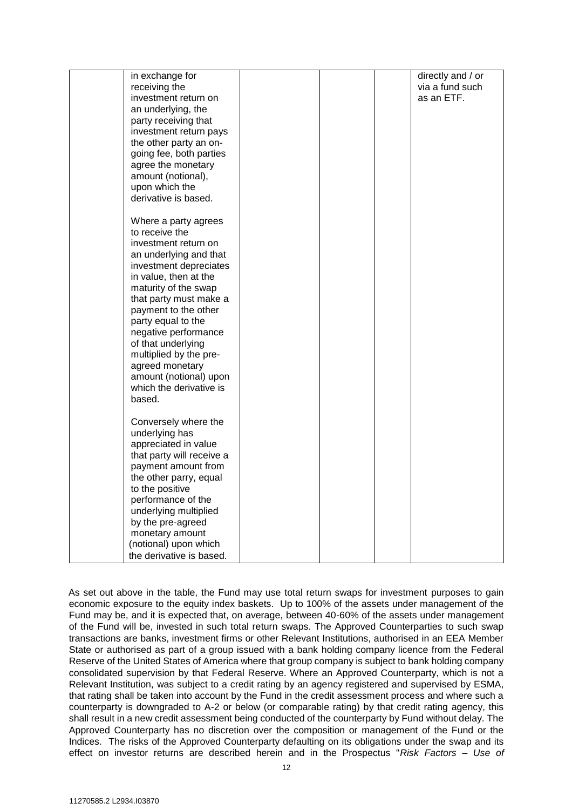| in exchange for<br>receiving the<br>investment return on<br>an underlying, the<br>party receiving that<br>investment return pays<br>the other party an on-<br>going fee, both parties<br>agree the monetary<br>amount (notional),<br>upon which the<br>derivative is based.                                                                                                                           |  | directly and / or<br>via a fund such<br>as an ETF. |
|-------------------------------------------------------------------------------------------------------------------------------------------------------------------------------------------------------------------------------------------------------------------------------------------------------------------------------------------------------------------------------------------------------|--|----------------------------------------------------|
| Where a party agrees<br>to receive the<br>investment return on<br>an underlying and that<br>investment depreciates<br>in value, then at the<br>maturity of the swap<br>that party must make a<br>payment to the other<br>party equal to the<br>negative performance<br>of that underlying<br>multiplied by the pre-<br>agreed monetary<br>amount (notional) upon<br>which the derivative is<br>based. |  |                                                    |
| Conversely where the<br>underlying has<br>appreciated in value<br>that party will receive a<br>payment amount from<br>the other parry, equal<br>to the positive<br>performance of the<br>underlying multiplied<br>by the pre-agreed<br>monetary amount<br>(notional) upon which<br>the derivative is based.                                                                                           |  |                                                    |

As set out above in the table, the Fund may use total return swaps for investment purposes to gain economic exposure to the equity index baskets. Up to 100% of the assets under management of the Fund may be, and it is expected that, on average, between 40-60% of the assets under management of the Fund will be, invested in such total return swaps. The Approved Counterparties to such swap transactions are banks, investment firms or other Relevant Institutions, authorised in an EEA Member State or authorised as part of a group issued with a bank holding company licence from the Federal Reserve of the United States of America where that group company is subject to bank holding company consolidated supervision by that Federal Reserve. Where an Approved Counterparty, which is not a Relevant Institution, was subject to a credit rating by an agency registered and supervised by ESMA, that rating shall be taken into account by the Fund in the credit assessment process and where such a counterparty is downgraded to A-2 or below (or comparable rating) by that credit rating agency, this shall result in a new credit assessment being conducted of the counterparty by Fund without delay. The Approved Counterparty has no discretion over the composition or management of the Fund or the Indices. The risks of the Approved Counterparty defaulting on its obligations under the swap and its effect on investor returns are described herein and in the Prospectus "*Risk Factors – Use of*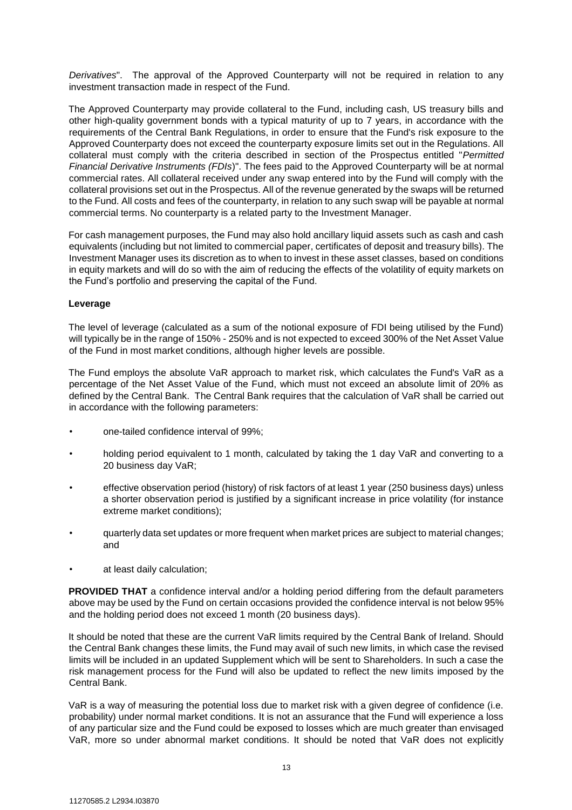*Derivatives*". The approval of the Approved Counterparty will not be required in relation to any investment transaction made in respect of the Fund.

The Approved Counterparty may provide collateral to the Fund, including cash, US treasury bills and other high-quality government bonds with a typical maturity of up to 7 years, in accordance with the requirements of the Central Bank Regulations, in order to ensure that the Fund's risk exposure to the Approved Counterparty does not exceed the counterparty exposure limits set out in the Regulations. All collateral must comply with the criteria described in section of the Prospectus entitled "*Permitted Financial Derivative Instruments (FDIs*)". The fees paid to the Approved Counterparty will be at normal commercial rates. All collateral received under any swap entered into by the Fund will comply with the collateral provisions set out in the Prospectus. All of the revenue generated by the swaps will be returned to the Fund. All costs and fees of the counterparty, in relation to any such swap will be payable at normal commercial terms. No counterparty is a related party to the Investment Manager.

For cash management purposes, the Fund may also hold ancillary liquid assets such as cash and cash equivalents (including but not limited to commercial paper, certificates of deposit and treasury bills). The Investment Manager uses its discretion as to when to invest in these asset classes, based on conditions in equity markets and will do so with the aim of reducing the effects of the volatility of equity markets on the Fund's portfolio and preserving the capital of the Fund.

#### **Leverage**

The level of leverage (calculated as a sum of the notional exposure of FDI being utilised by the Fund) will typically be in the range of 150% - 250% and is not expected to exceed 300% of the Net Asset Value of the Fund in most market conditions, although higher levels are possible.

The Fund employs the absolute VaR approach to market risk, which calculates the Fund's VaR as a percentage of the Net Asset Value of the Fund, which must not exceed an absolute limit of 20% as defined by the Central Bank. The Central Bank requires that the calculation of VaR shall be carried out in accordance with the following parameters:

- one-tailed confidence interval of 99%;
- holding period equivalent to 1 month, calculated by taking the 1 day VaR and converting to a 20 business day VaR;
- effective observation period (history) of risk factors of at least 1 year (250 business days) unless a shorter observation period is justified by a significant increase in price volatility (for instance extreme market conditions);
- quarterly data set updates or more frequent when market prices are subject to material changes; and
- at least daily calculation;

**PROVIDED THAT** a confidence interval and/or a holding period differing from the default parameters above may be used by the Fund on certain occasions provided the confidence interval is not below 95% and the holding period does not exceed 1 month (20 business days).

It should be noted that these are the current VaR limits required by the Central Bank of Ireland. Should the Central Bank changes these limits, the Fund may avail of such new limits, in which case the revised limits will be included in an updated Supplement which will be sent to Shareholders. In such a case the risk management process for the Fund will also be updated to reflect the new limits imposed by the Central Bank.

VaR is a way of measuring the potential loss due to market risk with a given degree of confidence (i.e. probability) under normal market conditions. It is not an assurance that the Fund will experience a loss of any particular size and the Fund could be exposed to losses which are much greater than envisaged VaR, more so under abnormal market conditions. It should be noted that VaR does not explicitly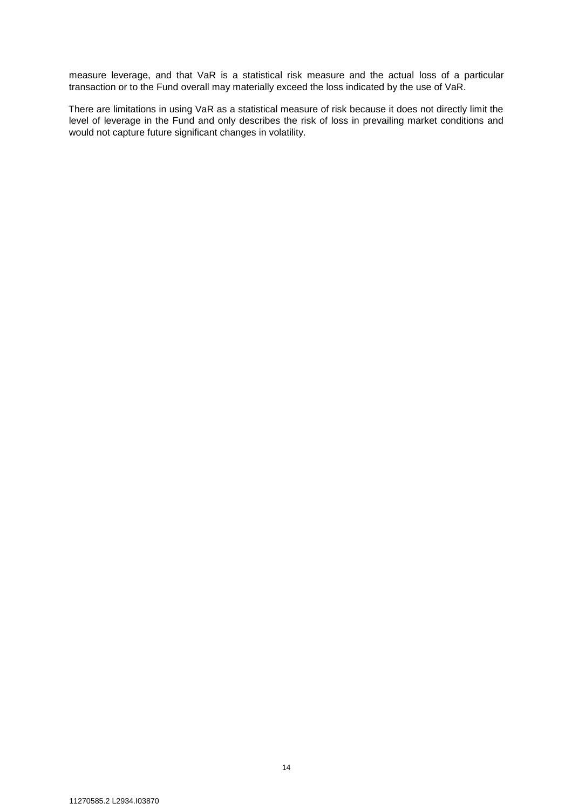measure leverage, and that VaR is a statistical risk measure and the actual loss of a particular transaction or to the Fund overall may materially exceed the loss indicated by the use of VaR.

There are limitations in using VaR as a statistical measure of risk because it does not directly limit the level of leverage in the Fund and only describes the risk of loss in prevailing market conditions and would not capture future significant changes in volatility.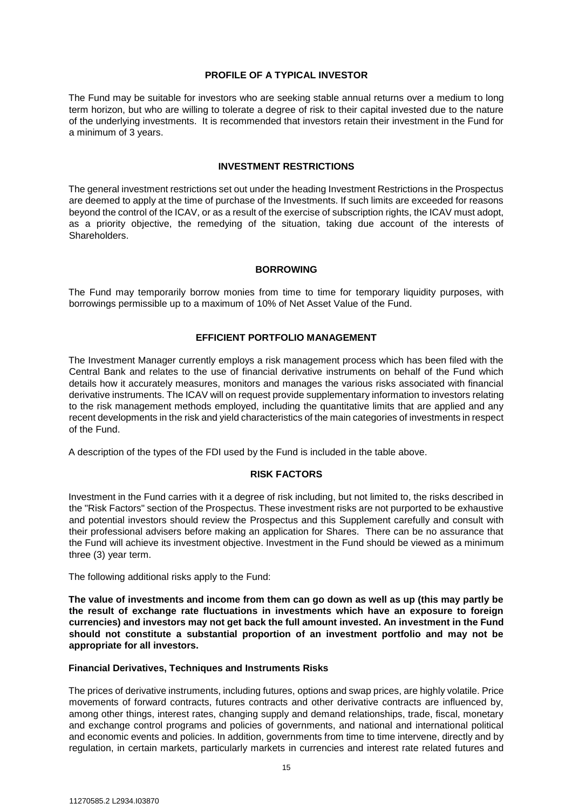#### **PROFILE OF A TYPICAL INVESTOR**

<span id="page-14-0"></span>The Fund may be suitable for investors who are seeking stable annual returns over a medium to long term horizon, but who are willing to tolerate a degree of risk to their capital invested due to the nature of the underlying investments. It is recommended that investors retain their investment in the Fund for a minimum of 3 years.

#### **INVESTMENT RESTRICTIONS**

<span id="page-14-1"></span>The general investment restrictions set out under the heading Investment Restrictions in the Prospectus are deemed to apply at the time of purchase of the Investments. If such limits are exceeded for reasons beyond the control of the ICAV, or as a result of the exercise of subscription rights, the ICAV must adopt, as a priority objective, the remedying of the situation, taking due account of the interests of Shareholders.

#### **BORROWING**

<span id="page-14-2"></span>The Fund may temporarily borrow monies from time to time for temporary liquidity purposes, with borrowings permissible up to a maximum of 10% of Net Asset Value of the Fund.

# **EFFICIENT PORTFOLIO MANAGEMENT**

<span id="page-14-3"></span>The Investment Manager currently employs a risk management process which has been filed with the Central Bank and relates to the use of financial derivative instruments on behalf of the Fund which details how it accurately measures, monitors and manages the various risks associated with financial derivative instruments. The ICAV will on request provide supplementary information to investors relating to the risk management methods employed, including the quantitative limits that are applied and any recent developments in the risk and yield characteristics of the main categories of investments in respect of the Fund.

<span id="page-14-4"></span>A description of the types of the FDI used by the Fund is included in the table above.

#### **RISK FACTORS**

Investment in the Fund carries with it a degree of risk including, but not limited to, the risks described in the "Risk Factors" section of the Prospectus. These investment risks are not purported to be exhaustive and potential investors should review the Prospectus and this Supplement carefully and consult with their professional advisers before making an application for Shares. There can be no assurance that the Fund will achieve its investment objective. Investment in the Fund should be viewed as a minimum three (3) year term.

The following additional risks apply to the Fund:

**The value of investments and income from them can go down as well as up (this may partly be the result of exchange rate fluctuations in investments which have an exposure to foreign currencies) and investors may not get back the full amount invested. An investment in the Fund should not constitute a substantial proportion of an investment portfolio and may not be appropriate for all investors.** 

#### **Financial Derivatives, Techniques and Instruments Risks**

The prices of derivative instruments, including futures, options and swap prices, are highly volatile. Price movements of forward contracts, futures contracts and other derivative contracts are influenced by, among other things, interest rates, changing supply and demand relationships, trade, fiscal, monetary and exchange control programs and policies of governments, and national and international political and economic events and policies. In addition, governments from time to time intervene, directly and by regulation, in certain markets, particularly markets in currencies and interest rate related futures and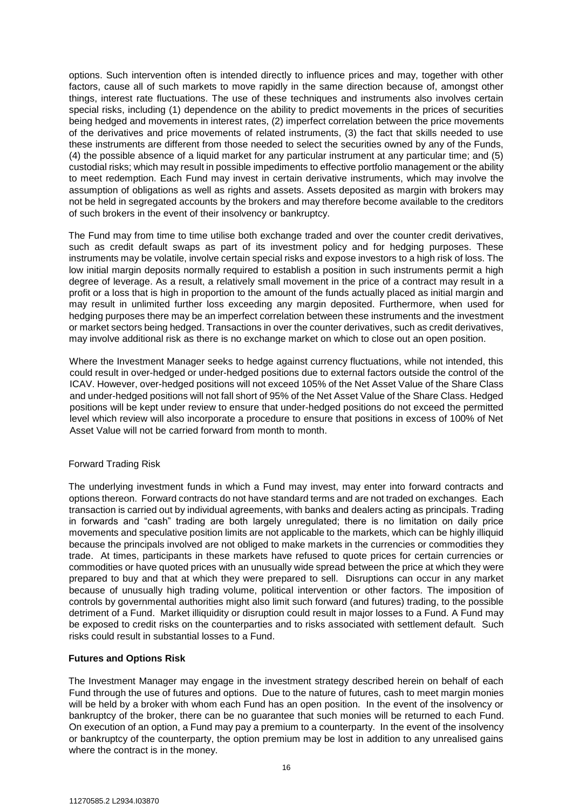options. Such intervention often is intended directly to influence prices and may, together with other factors, cause all of such markets to move rapidly in the same direction because of, amongst other things, interest rate fluctuations. The use of these techniques and instruments also involves certain special risks, including (1) dependence on the ability to predict movements in the prices of securities being hedged and movements in interest rates, (2) imperfect correlation between the price movements of the derivatives and price movements of related instruments, (3) the fact that skills needed to use these instruments are different from those needed to select the securities owned by any of the Funds, (4) the possible absence of a liquid market for any particular instrument at any particular time; and (5) custodial risks; which may result in possible impediments to effective portfolio management or the ability to meet redemption. Each Fund may invest in certain derivative instruments, which may involve the assumption of obligations as well as rights and assets. Assets deposited as margin with brokers may not be held in segregated accounts by the brokers and may therefore become available to the creditors of such brokers in the event of their insolvency or bankruptcy.

The Fund may from time to time utilise both exchange traded and over the counter credit derivatives, such as credit default swaps as part of its investment policy and for hedging purposes. These instruments may be volatile, involve certain special risks and expose investors to a high risk of loss. The low initial margin deposits normally required to establish a position in such instruments permit a high degree of leverage. As a result, a relatively small movement in the price of a contract may result in a profit or a loss that is high in proportion to the amount of the funds actually placed as initial margin and may result in unlimited further loss exceeding any margin deposited. Furthermore, when used for hedging purposes there may be an imperfect correlation between these instruments and the investment or market sectors being hedged. Transactions in over the counter derivatives, such as credit derivatives, may involve additional risk as there is no exchange market on which to close out an open position.

Where the Investment Manager seeks to hedge against currency fluctuations, while not intended, this could result in over-hedged or under-hedged positions due to external factors outside the control of the ICAV. However, over-hedged positions will not exceed 105% of the Net Asset Value of the Share Class and under-hedged positions will not fall short of 95% of the Net Asset Value of the Share Class. Hedged positions will be kept under review to ensure that under-hedged positions do not exceed the permitted level which review will also incorporate a procedure to ensure that positions in excess of 100% of Net Asset Value will not be carried forward from month to month.

# Forward Trading Risk

The underlying investment funds in which a Fund may invest, may enter into forward contracts and options thereon. Forward contracts do not have standard terms and are not traded on exchanges. Each transaction is carried out by individual agreements, with banks and dealers acting as principals. Trading in forwards and "cash" trading are both largely unregulated; there is no limitation on daily price movements and speculative position limits are not applicable to the markets, which can be highly illiquid because the principals involved are not obliged to make markets in the currencies or commodities they trade. At times, participants in these markets have refused to quote prices for certain currencies or commodities or have quoted prices with an unusually wide spread between the price at which they were prepared to buy and that at which they were prepared to sell. Disruptions can occur in any market because of unusually high trading volume, political intervention or other factors. The imposition of controls by governmental authorities might also limit such forward (and futures) trading, to the possible detriment of a Fund. Market illiquidity or disruption could result in major losses to a Fund. A Fund may be exposed to credit risks on the counterparties and to risks associated with settlement default. Such risks could result in substantial losses to a Fund.

# **Futures and Options Risk**

The Investment Manager may engage in the investment strategy described herein on behalf of each Fund through the use of futures and options. Due to the nature of futures, cash to meet margin monies will be held by a broker with whom each Fund has an open position. In the event of the insolvency or bankruptcy of the broker, there can be no guarantee that such monies will be returned to each Fund. On execution of an option, a Fund may pay a premium to a counterparty. In the event of the insolvency or bankruptcy of the counterparty, the option premium may be lost in addition to any unrealised gains where the contract is in the money.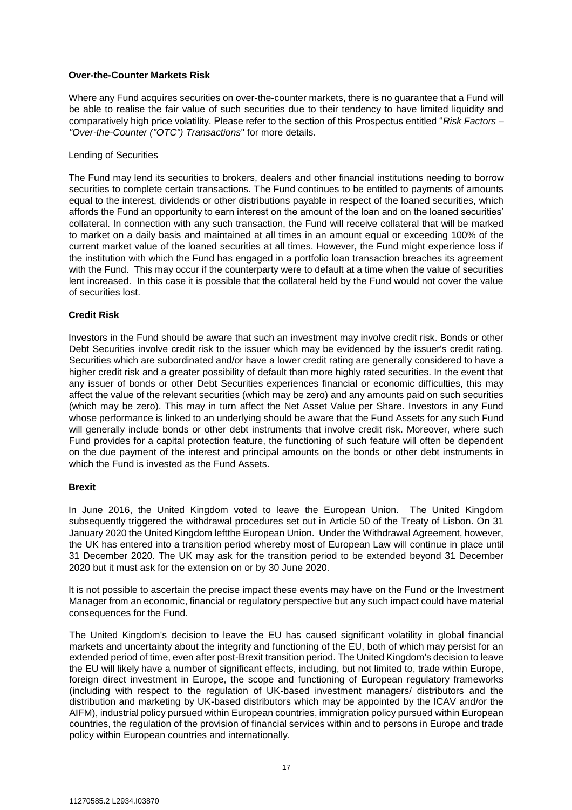#### **Over-the-Counter Markets Risk**

Where any Fund acquires securities on over-the-counter markets, there is no guarantee that a Fund will be able to realise the fair value of such securities due to their tendency to have limited liquidity and comparatively high price volatility. Please refer to the section of this Prospectus entitled "*Risk Factors – "Over-the-Counter ("OTC") Transactions*" for more details.

# Lending of Securities

The Fund may lend its securities to brokers, dealers and other financial institutions needing to borrow securities to complete certain transactions. The Fund continues to be entitled to payments of amounts equal to the interest, dividends or other distributions payable in respect of the loaned securities, which affords the Fund an opportunity to earn interest on the amount of the loan and on the loaned securities' collateral. In connection with any such transaction, the Fund will receive collateral that will be marked to market on a daily basis and maintained at all times in an amount equal or exceeding 100% of the current market value of the loaned securities at all times. However, the Fund might experience loss if the institution with which the Fund has engaged in a portfolio loan transaction breaches its agreement with the Fund. This may occur if the counterparty were to default at a time when the value of securities lent increased. In this case it is possible that the collateral held by the Fund would not cover the value of securities lost.

# **Credit Risk**

Investors in the Fund should be aware that such an investment may involve credit risk. Bonds or other Debt Securities involve credit risk to the issuer which may be evidenced by the issuer's credit rating. Securities which are subordinated and/or have a lower credit rating are generally considered to have a higher credit risk and a greater possibility of default than more highly rated securities. In the event that any issuer of bonds or other Debt Securities experiences financial or economic difficulties, this may affect the value of the relevant securities (which may be zero) and any amounts paid on such securities (which may be zero). This may in turn affect the Net Asset Value per Share. Investors in any Fund whose performance is linked to an underlying should be aware that the Fund Assets for any such Fund will generally include bonds or other debt instruments that involve credit risk. Moreover, where such Fund provides for a capital protection feature, the functioning of such feature will often be dependent on the due payment of the interest and principal amounts on the bonds or other debt instruments in which the Fund is invested as the Fund Assets.

# **Brexit**

In June 2016, the United Kingdom voted to leave the European Union. The United Kingdom subsequently triggered the withdrawal procedures set out in Article 50 of the Treaty of Lisbon. On 31 January 2020 the United Kingdom leftthe European Union. Under the Withdrawal Agreement, however, the UK has entered into a transition period whereby most of European Law will continue in place until 31 December 2020. The UK may ask for the transition period to be extended beyond 31 December 2020 but it must ask for the extension on or by 30 June 2020.

It is not possible to ascertain the precise impact these events may have on the Fund or the Investment Manager from an economic, financial or regulatory perspective but any such impact could have material consequences for the Fund.

The United Kingdom's decision to leave the EU has caused significant volatility in global financial markets and uncertainty about the integrity and functioning of the EU, both of which may persist for an extended period of time, even after post-Brexit transition period. The United Kingdom's decision to leave the EU will likely have a number of significant effects, including, but not limited to, trade within Europe, foreign direct investment in Europe, the scope and functioning of European regulatory frameworks (including with respect to the regulation of UK-based investment managers/ distributors and the distribution and marketing by UK-based distributors which may be appointed by the ICAV and/or the AIFM), industrial policy pursued within European countries, immigration policy pursued within European countries, the regulation of the provision of financial services within and to persons in Europe and trade policy within European countries and internationally.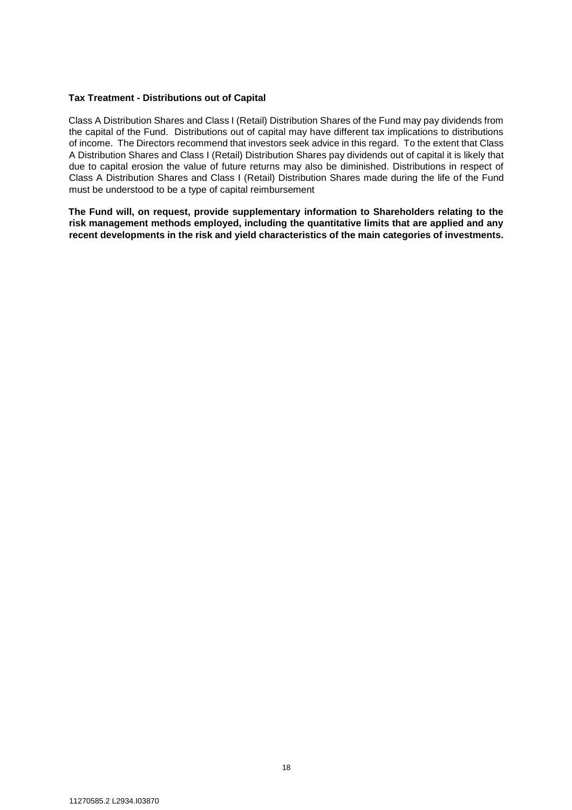## **Tax Treatment - Distributions out of Capital**

Class A Distribution Shares and Class I (Retail) Distribution Shares of the Fund may pay dividends from the capital of the Fund. Distributions out of capital may have different tax implications to distributions of income. The Directors recommend that investors seek advice in this regard. To the extent that Class A Distribution Shares and Class I (Retail) Distribution Shares pay dividends out of capital it is likely that due to capital erosion the value of future returns may also be diminished. Distributions in respect of Class A Distribution Shares and Class I (Retail) Distribution Shares made during the life of the Fund must be understood to be a type of capital reimbursement

**The Fund will, on request, provide supplementary information to Shareholders relating to the risk management methods employed, including the quantitative limits that are applied and any recent developments in the risk and yield characteristics of the main categories of investments.**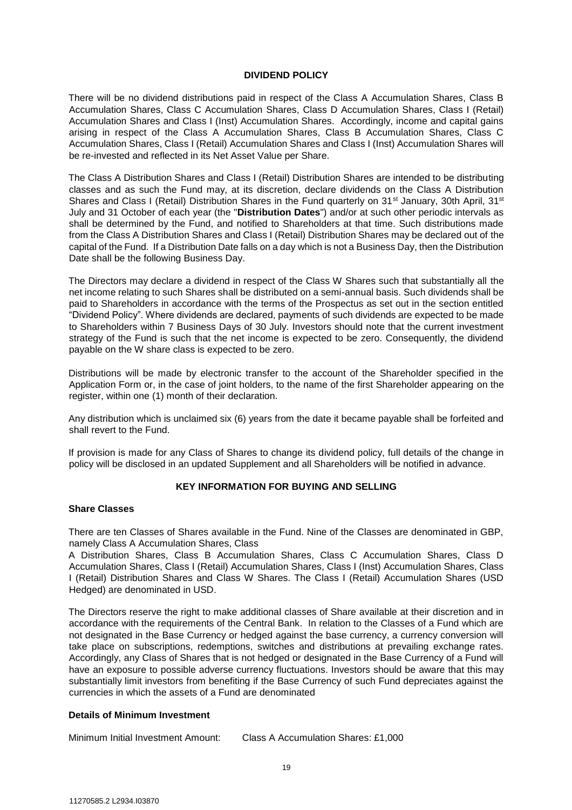#### **DIVIDEND POLICY**

<span id="page-18-0"></span>There will be no dividend distributions paid in respect of the Class A Accumulation Shares, Class B Accumulation Shares, Class C Accumulation Shares, Class D Accumulation Shares, Class I (Retail) Accumulation Shares and Class I (Inst) Accumulation Shares. Accordingly, income and capital gains arising in respect of the Class A Accumulation Shares, Class B Accumulation Shares, Class C Accumulation Shares, Class I (Retail) Accumulation Shares and Class I (Inst) Accumulation Shares will be re-invested and reflected in its Net Asset Value per Share.

The Class A Distribution Shares and Class I (Retail) Distribution Shares are intended to be distributing classes and as such the Fund may, at its discretion, declare dividends on the Class A Distribution Shares and Class I (Retail) Distribution Shares in the Fund quarterly on 31<sup>st</sup> January, 30th April, 31<sup>st</sup> July and 31 October of each year (the "**Distribution Dates**") and/or at such other periodic intervals as shall be determined by the Fund, and notified to Shareholders at that time. Such distributions made from the Class A Distribution Shares and Class I (Retail) Distribution Shares may be declared out of the capital of the Fund. If a Distribution Date falls on a day which is not a Business Day, then the Distribution Date shall be the following Business Day.

The Directors may declare a dividend in respect of the Class W Shares such that substantially all the net income relating to such Shares shall be distributed on a semi-annual basis. Such dividends shall be paid to Shareholders in accordance with the terms of the Prospectus as set out in the section entitled "Dividend Policy". Where dividends are declared, payments of such dividends are expected to be made to Shareholders within 7 Business Days of 30 July. Investors should note that the current investment strategy of the Fund is such that the net income is expected to be zero. Consequently, the dividend payable on the W share class is expected to be zero.

Distributions will be made by electronic transfer to the account of the Shareholder specified in the Application Form or, in the case of joint holders, to the name of the first Shareholder appearing on the register, within one (1) month of their declaration.

Any distribution which is unclaimed six (6) years from the date it became payable shall be forfeited and shall revert to the Fund.

If provision is made for any Class of Shares to change its dividend policy, full details of the change in policy will be disclosed in an updated Supplement and all Shareholders will be notified in advance.

# **KEY INFORMATION FOR BUYING AND SELLING**

#### <span id="page-18-1"></span>**Share Classes**

There are ten Classes of Shares available in the Fund. Nine of the Classes are denominated in GBP, namely Class A Accumulation Shares, Class

A Distribution Shares, Class B Accumulation Shares, Class C Accumulation Shares, Class D Accumulation Shares, Class I (Retail) Accumulation Shares, Class I (Inst) Accumulation Shares, Class I (Retail) Distribution Shares and Class W Shares. The Class I (Retail) Accumulation Shares (USD Hedged) are denominated in USD.

The Directors reserve the right to make additional classes of Share available at their discretion and in accordance with the requirements of the Central Bank. In relation to the Classes of a Fund which are not designated in the Base Currency or hedged against the base currency, a currency conversion will take place on subscriptions, redemptions, switches and distributions at prevailing exchange rates. Accordingly, any Class of Shares that is not hedged or designated in the Base Currency of a Fund will have an exposure to possible adverse currency fluctuations. Investors should be aware that this may substantially limit investors from benefiting if the Base Currency of such Fund depreciates against the currencies in which the assets of a Fund are denominated

#### **Details of Minimum Investment**

Minimum Initial Investment Amount: Class A Accumulation Shares: £1,000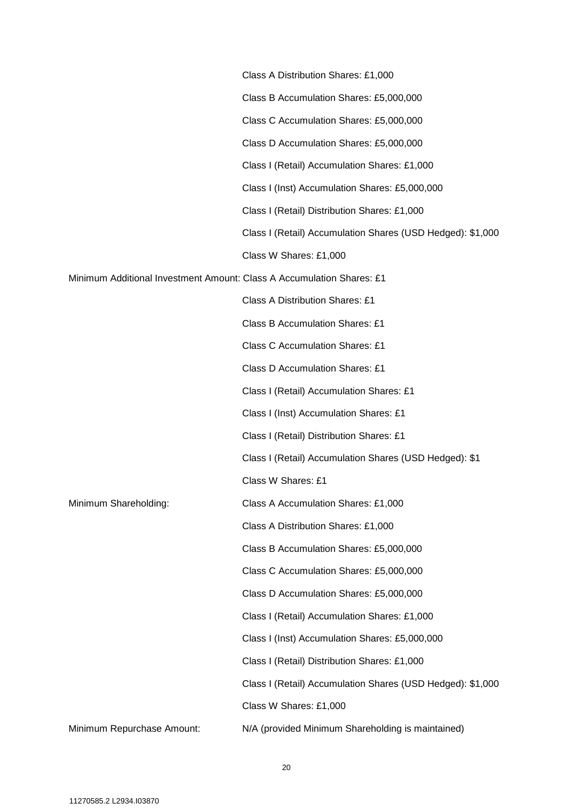|                                                                       | Class A Distribution Shares: £1,000                        |
|-----------------------------------------------------------------------|------------------------------------------------------------|
|                                                                       | Class B Accumulation Shares: £5,000,000                    |
|                                                                       | Class C Accumulation Shares: £5,000,000                    |
|                                                                       | Class D Accumulation Shares: £5,000,000                    |
|                                                                       | Class I (Retail) Accumulation Shares: £1,000               |
|                                                                       | Class I (Inst) Accumulation Shares: £5,000,000             |
|                                                                       | Class I (Retail) Distribution Shares: £1,000               |
|                                                                       | Class I (Retail) Accumulation Shares (USD Hedged): \$1,000 |
|                                                                       | Class W Shares: £1,000                                     |
| Minimum Additional Investment Amount: Class A Accumulation Shares: £1 |                                                            |
|                                                                       | Class A Distribution Shares: £1                            |
|                                                                       | <b>Class B Accumulation Shares: £1</b>                     |
|                                                                       | <b>Class C Accumulation Shares: £1</b>                     |
|                                                                       | <b>Class D Accumulation Shares: £1</b>                     |
|                                                                       | Class I (Retail) Accumulation Shares: £1                   |
|                                                                       | Class I (Inst) Accumulation Shares: £1                     |
|                                                                       | Class I (Retail) Distribution Shares: £1                   |
|                                                                       | Class I (Retail) Accumulation Shares (USD Hedged): \$1     |
|                                                                       | Class W Shares: £1                                         |
| Minimum Shareholding:                                                 | Class A Accumulation Shares: £1,000                        |
|                                                                       | Class A Distribution Shares: £1,000                        |
|                                                                       | Class B Accumulation Shares: £5,000,000                    |
|                                                                       | Class C Accumulation Shares: £5,000,000                    |
|                                                                       | Class D Accumulation Shares: £5,000,000                    |
|                                                                       | Class I (Retail) Accumulation Shares: £1,000               |
|                                                                       | Class I (Inst) Accumulation Shares: £5,000,000             |
|                                                                       | Class I (Retail) Distribution Shares: £1,000               |
|                                                                       | Class I (Retail) Accumulation Shares (USD Hedged): \$1,000 |
|                                                                       | Class W Shares: £1,000                                     |
| Minimum Repurchase Amount:                                            | N/A (provided Minimum Shareholding is maintained)          |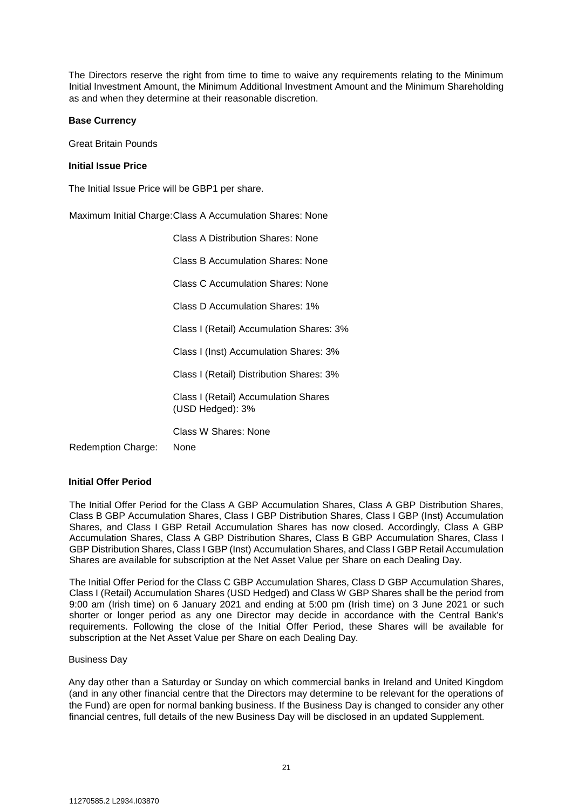The Directors reserve the right from time to time to waive any requirements relating to the Minimum Initial Investment Amount, the Minimum Additional Investment Amount and the Minimum Shareholding as and when they determine at their reasonable discretion.

#### **Base Currency**

Great Britain Pounds

#### **Initial Issue Price**

The Initial Issue Price will be GBP1 per share.

Maximum Initial Charge: Class A Accumulation Shares: None

|                           | Class A Distribution Shares: None                        |
|---------------------------|----------------------------------------------------------|
|                           | Class B Accumulation Shares: None                        |
|                           | <b>Class C Accumulation Shares: None</b>                 |
|                           | Class D Accumulation Shares: 1%                          |
|                           | Class I (Retail) Accumulation Shares: 3%                 |
|                           | Class I (Inst) Accumulation Shares: 3%                   |
|                           | Class I (Retail) Distribution Shares: 3%                 |
|                           | Class I (Retail) Accumulation Shares<br>(USD Hedged): 3% |
| <b>Redemption Charge:</b> | Class W Shares: None<br>None                             |

#### **Initial Offer Period**

The Initial Offer Period for the Class A GBP Accumulation Shares, Class A GBP Distribution Shares, Class B GBP Accumulation Shares, Class I GBP Distribution Shares, Class I GBP (Inst) Accumulation Shares, and Class I GBP Retail Accumulation Shares has now closed. Accordingly, Class A GBP Accumulation Shares, Class A GBP Distribution Shares, Class B GBP Accumulation Shares, Class I GBP Distribution Shares, Class I GBP (Inst) Accumulation Shares, and Class I GBP Retail Accumulation Shares are available for subscription at the Net Asset Value per Share on each Dealing Day.

The Initial Offer Period for the Class C GBP Accumulation Shares, Class D GBP Accumulation Shares, Class I (Retail) Accumulation Shares (USD Hedged) and Class W GBP Shares shall be the period from 9:00 am (Irish time) on 6 January 2021 and ending at 5:00 pm (Irish time) on 3 June 2021 or such shorter or longer period as any one Director may decide in accordance with the Central Bank's requirements. Following the close of the Initial Offer Period, these Shares will be available for subscription at the Net Asset Value per Share on each Dealing Day.

#### Business Day

Any day other than a Saturday or Sunday on which commercial banks in Ireland and United Kingdom (and in any other financial centre that the Directors may determine to be relevant for the operations of the Fund) are open for normal banking business. If the Business Day is changed to consider any other financial centres, full details of the new Business Day will be disclosed in an updated Supplement.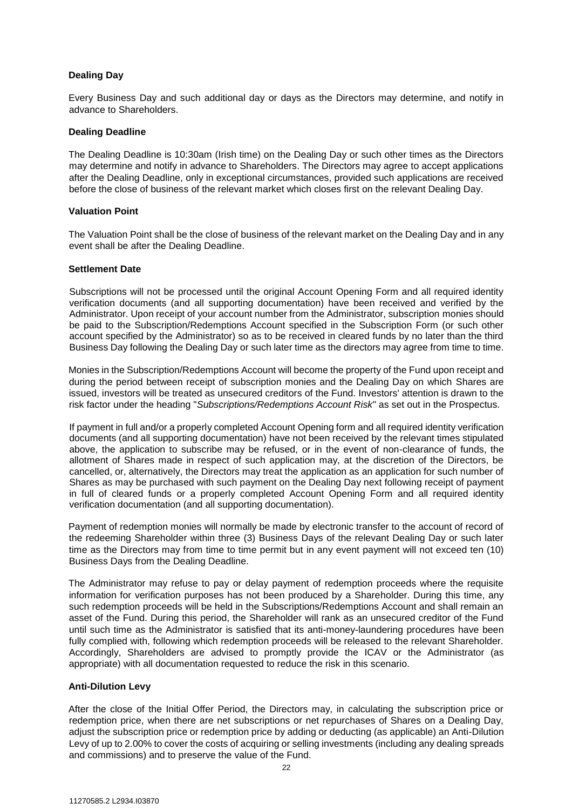# **Dealing Day**

Every Business Day and such additional day or days as the Directors may determine, and notify in advance to Shareholders.

#### **Dealing Deadline**

The Dealing Deadline is 10:30am (Irish time) on the Dealing Day or such other times as the Directors may determine and notify in advance to Shareholders. The Directors may agree to accept applications after the Dealing Deadline, only in exceptional circumstances, provided such applications are received before the close of business of the relevant market which closes first on the relevant Dealing Day.

#### **Valuation Point**

The Valuation Point shall be the close of business of the relevant market on the Dealing Day and in any event shall be after the Dealing Deadline.

#### **Settlement Date**

Subscriptions will not be processed until the original Account Opening Form and all required identity verification documents (and all supporting documentation) have been received and verified by the Administrator. Upon receipt of your account number from the Administrator, subscription monies should be paid to the Subscription/Redemptions Account specified in the Subscription Form (or such other account specified by the Administrator) so as to be received in cleared funds by no later than the third Business Day following the Dealing Day or such later time as the directors may agree from time to time.

Monies in the Subscription/Redemptions Account will become the property of the Fund upon receipt and during the period between receipt of subscription monies and the Dealing Day on which Shares are issued, investors will be treated as unsecured creditors of the Fund. Investors' attention is drawn to the risk factor under the heading "*Subscriptions/Redemptions Account Risk*" as set out in the Prospectus.

If payment in full and/or a properly completed Account Opening form and all required identity verification documents (and all supporting documentation) have not been received by the relevant times stipulated above, the application to subscribe may be refused, or in the event of non-clearance of funds, the allotment of Shares made in respect of such application may, at the discretion of the Directors, be cancelled, or, alternatively, the Directors may treat the application as an application for such number of Shares as may be purchased with such payment on the Dealing Day next following receipt of payment in full of cleared funds or a properly completed Account Opening Form and all required identity verification documentation (and all supporting documentation).

Payment of redemption monies will normally be made by electronic transfer to the account of record of the redeeming Shareholder within three (3) Business Days of the relevant Dealing Day or such later time as the Directors may from time to time permit but in any event payment will not exceed ten (10) Business Days from the Dealing Deadline.

The Administrator may refuse to pay or delay payment of redemption proceeds where the requisite information for verification purposes has not been produced by a Shareholder. During this time, any such redemption proceeds will be held in the Subscriptions/Redemptions Account and shall remain an asset of the Fund. During this period, the Shareholder will rank as an unsecured creditor of the Fund until such time as the Administrator is satisfied that its anti-money-laundering procedures have been fully complied with, following which redemption proceeds will be released to the relevant Shareholder. Accordingly, Shareholders are advised to promptly provide the ICAV or the Administrator (as appropriate) with all documentation requested to reduce the risk in this scenario.

# **Anti-Dilution Levy**

After the close of the Initial Offer Period, the Directors may, in calculating the subscription price or redemption price, when there are net subscriptions or net repurchases of Shares on a Dealing Day, adjust the subscription price or redemption price by adding or deducting (as applicable) an Anti-Dilution Levy of up to 2.00% to cover the costs of acquiring or selling investments (including any dealing spreads and commissions) and to preserve the value of the Fund.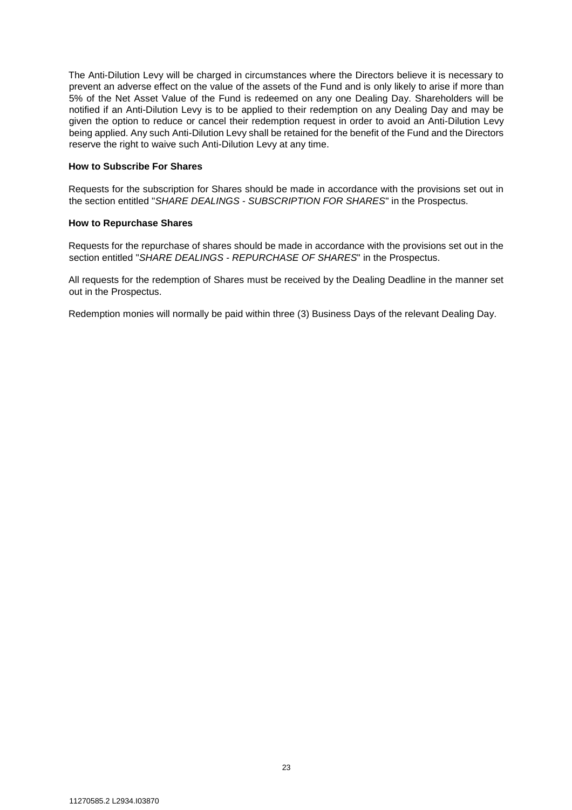The Anti-Dilution Levy will be charged in circumstances where the Directors believe it is necessary to prevent an adverse effect on the value of the assets of the Fund and is only likely to arise if more than 5% of the Net Asset Value of the Fund is redeemed on any one Dealing Day. Shareholders will be notified if an Anti-Dilution Levy is to be applied to their redemption on any Dealing Day and may be given the option to reduce or cancel their redemption request in order to avoid an Anti-Dilution Levy being applied. Any such Anti-Dilution Levy shall be retained for the benefit of the Fund and the Directors reserve the right to waive such Anti-Dilution Levy at any time.

#### **How to Subscribe For Shares**

Requests for the subscription for Shares should be made in accordance with the provisions set out in the section entitled "*SHARE DEALINGS - SUBSCRIPTION FOR SHARES*" in the Prospectus.

#### **How to Repurchase Shares**

Requests for the repurchase of shares should be made in accordance with the provisions set out in the section entitled "*SHARE DEALINGS - REPURCHASE OF SHARES*" in the Prospectus.

All requests for the redemption of Shares must be received by the Dealing Deadline in the manner set out in the Prospectus.

Redemption monies will normally be paid within three (3) Business Days of the relevant Dealing Day.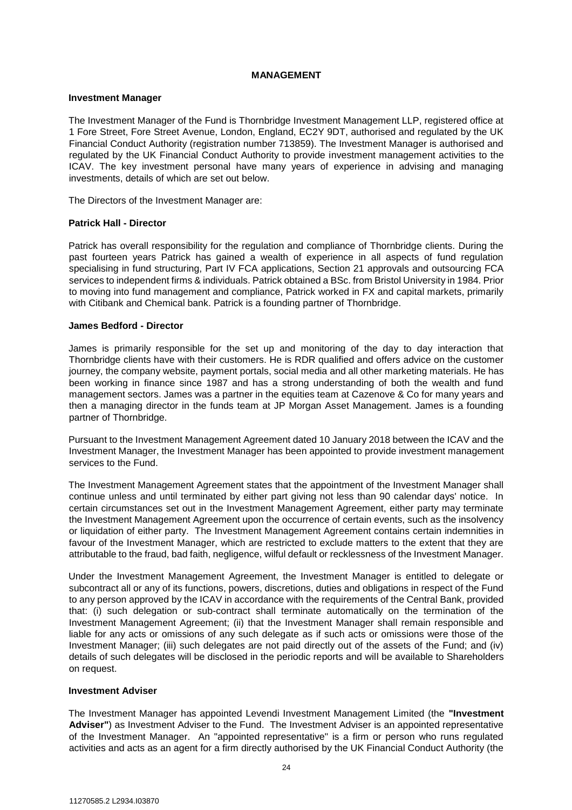#### **MANAGEMENT**

#### <span id="page-23-0"></span>**Investment Manager**

The Investment Manager of the Fund is Thornbridge Investment Management LLP, registered office at 1 Fore Street, Fore Street Avenue, London, England, EC2Y 9DT, authorised and regulated by the UK Financial Conduct Authority (registration number 713859). The Investment Manager is authorised and regulated by the UK Financial Conduct Authority to provide investment management activities to the ICAV. The key investment personal have many years of experience in advising and managing investments, details of which are set out below.

The Directors of the Investment Manager are:

#### **Patrick Hall - Director**

Patrick has overall responsibility for the regulation and compliance of Thornbridge clients. During the past fourteen years Patrick has gained a wealth of experience in all aspects of fund regulation specialising in fund structuring, Part IV FCA applications, Section 21 approvals and outsourcing FCA services to independent firms & individuals. Patrick obtained a BSc. from Bristol University in 1984. Prior to moving into fund management and compliance, Patrick worked in FX and capital markets, primarily with Citibank and Chemical bank. Patrick is a founding partner of Thornbridge.

#### **James Bedford - Director**

James is primarily responsible for the set up and monitoring of the day to day interaction that Thornbridge clients have with their customers. He is RDR qualified and offers advice on the customer journey, the company website, payment portals, social media and all other marketing materials. He has been working in finance since 1987 and has a strong understanding of both the wealth and fund management sectors. James was a partner in the equities team at Cazenove & Co for many years and then a managing director in the funds team at JP Morgan Asset Management. James is a founding partner of Thornbridge.

Pursuant to the Investment Management Agreement dated 10 January 2018 between the ICAV and the Investment Manager, the Investment Manager has been appointed to provide investment management services to the Fund.

The Investment Management Agreement states that the appointment of the Investment Manager shall continue unless and until terminated by either part giving not less than 90 calendar days' notice. In certain circumstances set out in the Investment Management Agreement, either party may terminate the Investment Management Agreement upon the occurrence of certain events, such as the insolvency or liquidation of either party. The Investment Management Agreement contains certain indemnities in favour of the Investment Manager, which are restricted to exclude matters to the extent that they are attributable to the fraud, bad faith, negligence, wilful default or recklessness of the Investment Manager.

Under the Investment Management Agreement, the Investment Manager is entitled to delegate or subcontract all or any of its functions, powers, discretions, duties and obligations in respect of the Fund to any person approved by the ICAV in accordance with the requirements of the Central Bank, provided that: (i) such delegation or sub-contract shall terminate automatically on the termination of the Investment Management Agreement; (ii) that the Investment Manager shall remain responsible and liable for any acts or omissions of any such delegate as if such acts or omissions were those of the Investment Manager; (iii) such delegates are not paid directly out of the assets of the Fund; and (iv) details of such delegates will be disclosed in the periodic reports and will be available to Shareholders on request.

#### **Investment Adviser**

The Investment Manager has appointed Levendi Investment Management Limited (the **"Investment Adviser"**) as Investment Adviser to the Fund. The Investment Adviser is an appointed representative of the Investment Manager. An "appointed representative" is a firm or person who runs regulated activities and acts as an agent for a firm directly authorised by the UK Financial Conduct Authority (the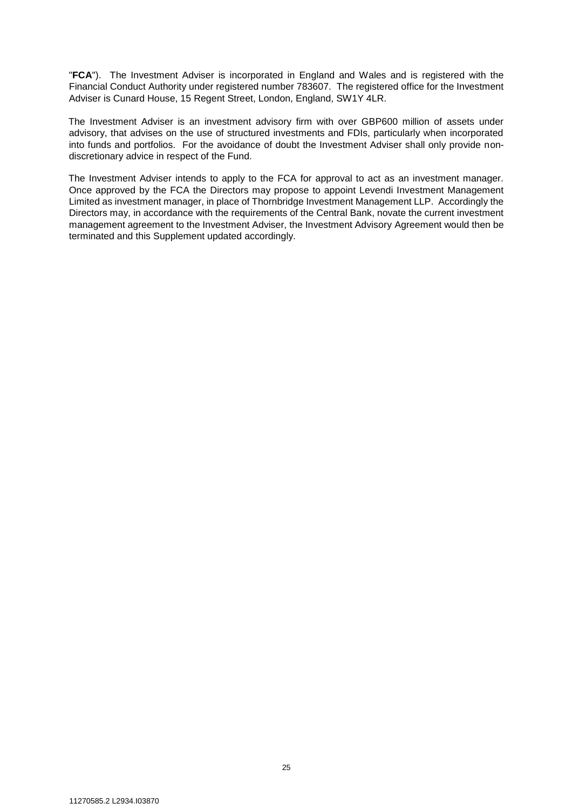"**FCA**"). The Investment Adviser is incorporated in England and Wales and is registered with the Financial Conduct Authority under registered number 783607. The registered office for the Investment Adviser is Cunard House, 15 Regent Street, London, England, SW1Y 4LR.

The Investment Adviser is an investment advisory firm with over GBP600 million of assets under advisory, that advises on the use of structured investments and FDIs, particularly when incorporated into funds and portfolios. For the avoidance of doubt the Investment Adviser shall only provide nondiscretionary advice in respect of the Fund.

The Investment Adviser intends to apply to the FCA for approval to act as an investment manager. Once approved by the FCA the Directors may propose to appoint Levendi Investment Management Limited as investment manager, in place of Thornbridge Investment Management LLP. Accordingly the Directors may, in accordance with the requirements of the Central Bank, novate the current investment management agreement to the Investment Adviser, the Investment Advisory Agreement would then be terminated and this Supplement updated accordingly.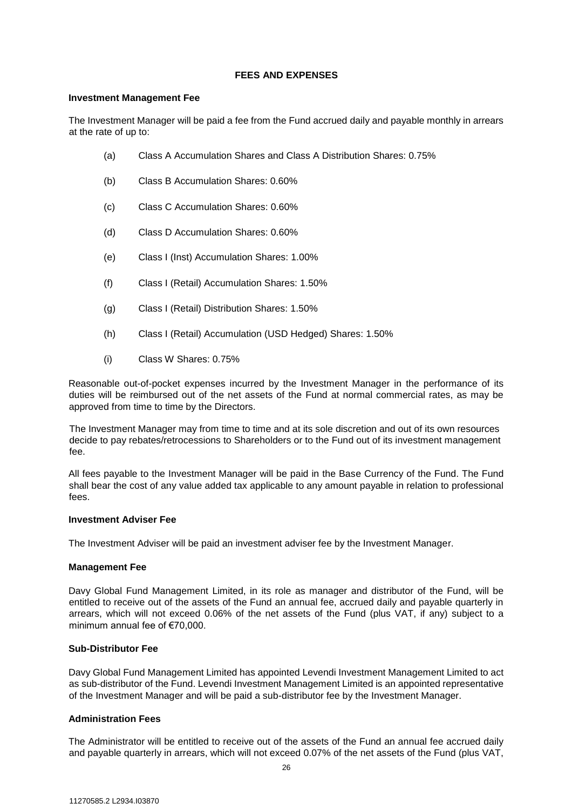#### **FEES AND EXPENSES**

#### <span id="page-25-0"></span>**Investment Management Fee**

The Investment Manager will be paid a fee from the Fund accrued daily and payable monthly in arrears at the rate of up to:

- (a) Class A Accumulation Shares and Class A Distribution Shares: 0.75%
- (b) Class B Accumulation Shares: 0.60%
- (c) Class C Accumulation Shares: 0.60%
- (d) Class D Accumulation Shares: 0.60%
- (e) Class I (Inst) Accumulation Shares: 1.00%
- (f) Class I (Retail) Accumulation Shares: 1.50%
- (g) Class I (Retail) Distribution Shares: 1.50%
- (h) Class I (Retail) Accumulation (USD Hedged) Shares: 1.50%
- (i) Class W Shares: 0.75%

Reasonable out-of-pocket expenses incurred by the Investment Manager in the performance of its duties will be reimbursed out of the net assets of the Fund at normal commercial rates, as may be approved from time to time by the Directors.

The Investment Manager may from time to time and at its sole discretion and out of its own resources decide to pay rebates/retrocessions to Shareholders or to the Fund out of its investment management fee.

All fees payable to the Investment Manager will be paid in the Base Currency of the Fund. The Fund shall bear the cost of any value added tax applicable to any amount payable in relation to professional fees.

#### **Investment Adviser Fee**

The Investment Adviser will be paid an investment adviser fee by the Investment Manager.

# **Management Fee**

Davy Global Fund Management Limited, in its role as manager and distributor of the Fund, will be entitled to receive out of the assets of the Fund an annual fee, accrued daily and payable quarterly in arrears, which will not exceed 0.06% of the net assets of the Fund (plus VAT, if any) subject to a minimum annual fee of €70,000.

# **Sub-Distributor Fee**

Davy Global Fund Management Limited has appointed Levendi Investment Management Limited to act as sub-distributor of the Fund. Levendi Investment Management Limited is an appointed representative of the Investment Manager and will be paid a sub-distributor fee by the Investment Manager.

# **Administration Fees**

The Administrator will be entitled to receive out of the assets of the Fund an annual fee accrued daily and payable quarterly in arrears, which will not exceed 0.07% of the net assets of the Fund (plus VAT,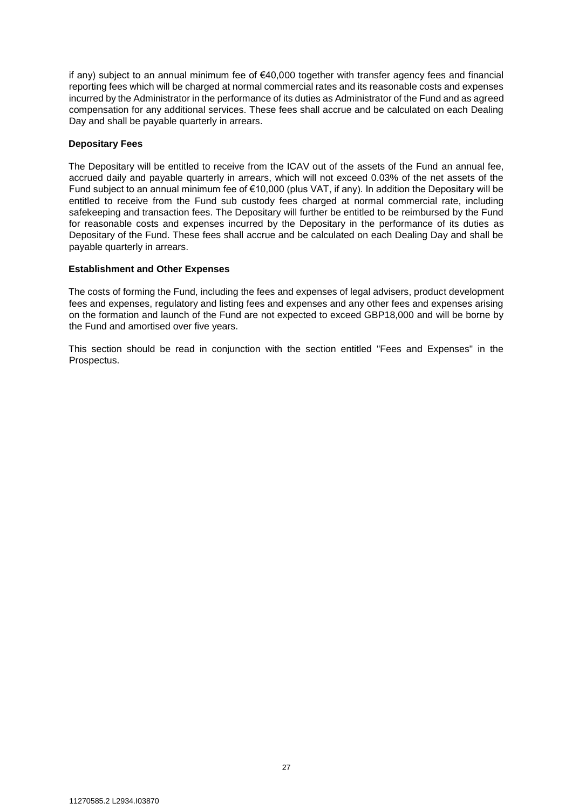if any) subject to an annual minimum fee of €40,000 together with transfer agency fees and financial reporting fees which will be charged at normal commercial rates and its reasonable costs and expenses incurred by the Administrator in the performance of its duties as Administrator of the Fund and as agreed compensation for any additional services. These fees shall accrue and be calculated on each Dealing Day and shall be payable quarterly in arrears.

#### **Depositary Fees**

The Depositary will be entitled to receive from the ICAV out of the assets of the Fund an annual fee, accrued daily and payable quarterly in arrears, which will not exceed 0.03% of the net assets of the Fund subject to an annual minimum fee of €10,000 (plus VAT, if any). In addition the Depositary will be entitled to receive from the Fund sub custody fees charged at normal commercial rate, including safekeeping and transaction fees. The Depositary will further be entitled to be reimbursed by the Fund for reasonable costs and expenses incurred by the Depositary in the performance of its duties as Depositary of the Fund. These fees shall accrue and be calculated on each Dealing Day and shall be payable quarterly in arrears.

## **Establishment and Other Expenses**

The costs of forming the Fund, including the fees and expenses of legal advisers, product development fees and expenses, regulatory and listing fees and expenses and any other fees and expenses arising on the formation and launch of the Fund are not expected to exceed GBP18,000 and will be borne by the Fund and amortised over five years.

This section should be read in conjunction with the section entitled "Fees and Expenses" in the Prospectus.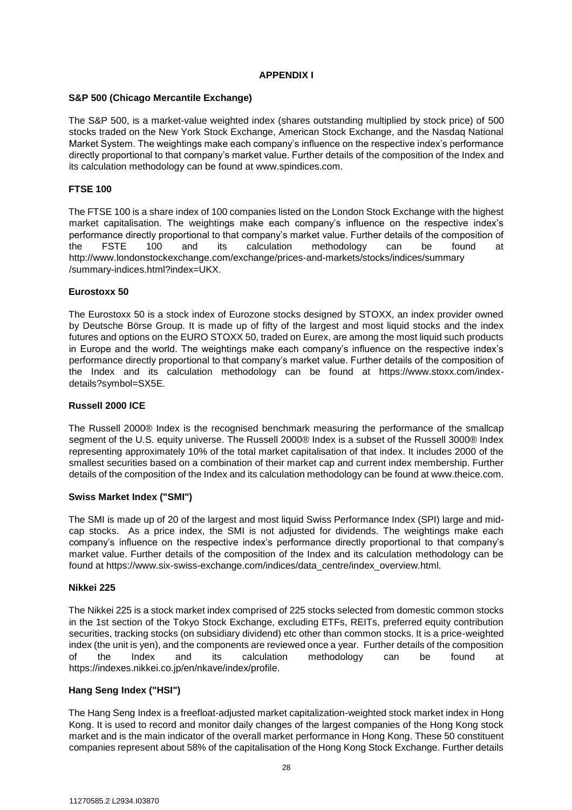## **APPENDIX I**

#### **S&P 500 (Chicago Mercantile Exchange)**

The S&P 500, is a market-value weighted index (shares outstanding multiplied by stock price) of 500 stocks traded on the New York Stock Exchange, American Stock Exchange, and the Nasdaq National Market System. The weightings make each company's influence on the respective index's performance directly proportional to that company's market value. Further details of the composition of the Index and its calculation methodology can be found at www.spindices.com.

# **FTSE 100**

The FTSE 100 is a share index of 100 companies listed on the London Stock Exchange with the highest market capitalisation. The weightings make each company's influence on the respective index's performance directly proportional to that company's market value. Further details of the composition of the FSTE 100 and its calculation methodology can be found at http://www.londonstockexchange.com/exchange/prices-and-markets/stocks/indices/summary /summary-indices.html?index=UKX.

#### **Eurostoxx 50**

The Eurostoxx 50 is a stock index of Eurozone stocks designed by STOXX, an index provider owned by Deutsche Börse Group. It is made up of fifty of the largest and most liquid stocks and the index futures and options on the EURO STOXX 50, traded on Eurex, are among the most liquid such products in Europe and the world. The weightings make each company's influence on the respective index's performance directly proportional to that company's market value. Further details of the composition of the Index and its calculation methodology can be found at https://www.stoxx.com/indexdetails?symbol=SX5E.

#### **Russell 2000 ICE**

The Russell 2000® Index is the recognised benchmark measuring the performance of the smallcap segment of the U.S. equity universe. The Russell 2000® Index is a subset of the Russell 3000® Index representing approximately 10% of the total market capitalisation of that index. It includes 2000 of the smallest securities based on a combination of their market cap and current index membership. Further details of the composition of the Index and its calculation methodology can be found at www.theice.com.

#### **Swiss Market Index ("SMI")**

The SMI is made up of 20 of the largest and most liquid Swiss Performance Index (SPI) large and midcap stocks. As a price index, the SMI is not adjusted for dividends. The weightings make each company's influence on the respective index's performance directly proportional to that company's market value. Further details of the composition of the Index and its calculation methodology can be found at https://www.six-swiss-exchange.com/indices/data\_centre/index\_overview.html.

#### **Nikkei 225**

The Nikkei 225 is a stock market index comprised of 225 stocks selected from domestic common stocks in the 1st section of the Tokyo Stock Exchange, excluding ETFs, REITs, preferred equity contribution securities, tracking stocks (on subsidiary dividend) etc other than common stocks. It is a price-weighted index (the unit is yen), and the components are reviewed once a year. Further details of the composition of the Index and its calculation methodology can be found at https://indexes.nikkei.co.jp/en/nkave/index/profile.

# **Hang Seng Index ("HSI")**

The Hang Seng Index is a freefloat-adjusted market capitalization-weighted stock market index in Hong Kong. It is used to record and monitor daily changes of the largest companies of the Hong Kong stock market and is the main indicator of the overall market performance in Hong Kong. These 50 constituent companies represent about 58% of the capitalisation of the Hong Kong Stock Exchange. Further details

28